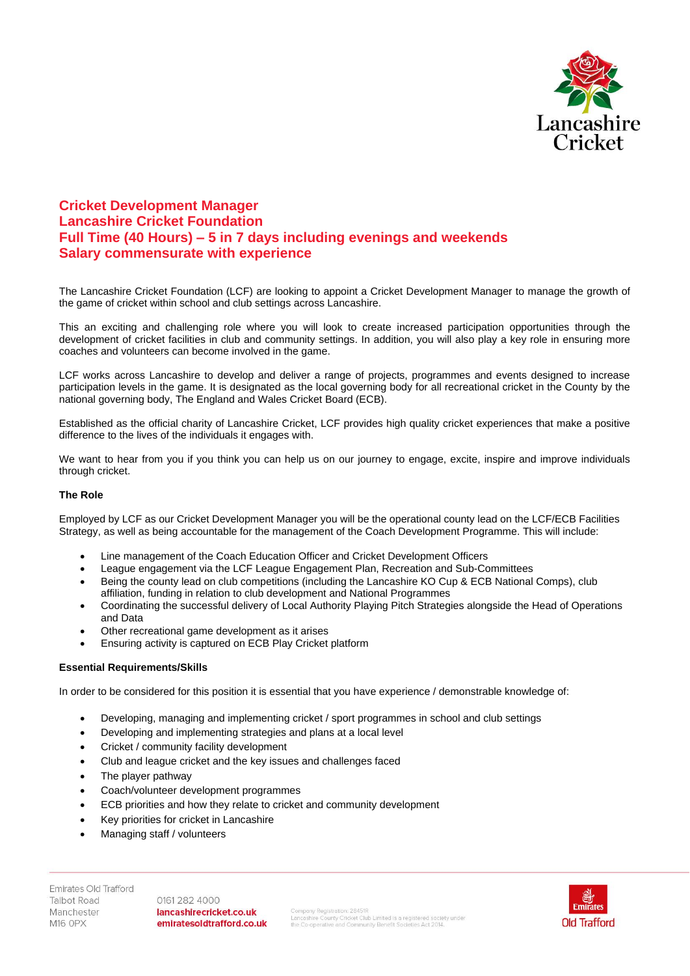

## **Cricket Development Manager Lancashire Cricket Foundation Full Time (40 Hours) – 5 in 7 days including evenings and weekends Salary commensurate with experience**

The Lancashire Cricket Foundation (LCF) are looking to appoint a Cricket Development Manager to manage the growth of the game of cricket within school and club settings across Lancashire.

This an exciting and challenging role where you will look to create increased participation opportunities through the development of cricket facilities in club and community settings. In addition, you will also play a key role in ensuring more coaches and volunteers can become involved in the game.

LCF works across Lancashire to develop and deliver a range of projects, programmes and events designed to increase participation levels in the game. It is designated as the local governing body for all recreational cricket in the County by the national governing body, The England and Wales Cricket Board (ECB).

Established as the official charity of Lancashire Cricket, LCF provides high quality cricket experiences that make a positive difference to the lives of the individuals it engages with.

We want to hear from you if you think you can help us on our journey to engage, excite, inspire and improve individuals through cricket.

## **The Role**

Employed by LCF as our Cricket Development Manager you will be the operational county lead on the LCF/ECB Facilities Strategy, as well as being accountable for the management of the Coach Development Programme. This will include:

- Line management of the Coach Education Officer and Cricket Development Officers
- League engagement via the LCF League Engagement Plan, Recreation and Sub-Committees
- Being the county lead on club competitions (including the Lancashire KO Cup & ECB National Comps), club affiliation, funding in relation to club development and National Programmes
- Coordinating the successful delivery of Local Authority Playing Pitch Strategies alongside the Head of Operations and Data
- Other recreational game development as it arises
- Ensuring activity is captured on ECB Play Cricket platform

## **Essential Requirements/Skills**

In order to be considered for this position it is essential that you have experience / demonstrable knowledge of:

- Developing, managing and implementing cricket / sport programmes in school and club settings
- Developing and implementing strategies and plans at a local level
- Cricket / community facility development
- Club and league cricket and the key issues and challenges faced
- The player pathway
- Coach/volunteer development programmes
- ECB priorities and how they relate to cricket and community development
- Key priorities for cricket in Lancashire
- Managing staff / volunteers

Emirates Old Trafford **Talbot Road** Manchester **M16 OPX** 

0161 282 4000 lancashirecricket.co.uk emiratesoldtrafford.co.uk

Company Registration: 28451R<br>Lancashire County Cricket Club Limited is a registered society under<br>the Co-operative and Community Benefit Societies Act 2014.